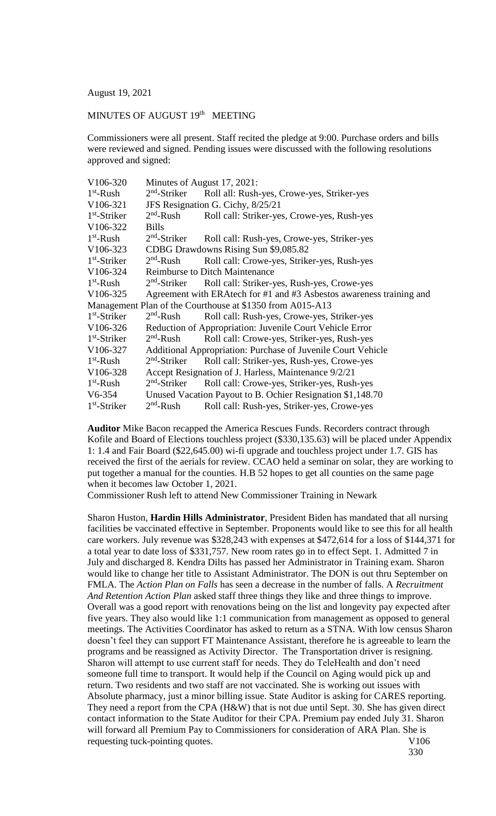August 19, 2021

## MINUTES OF AUGUST 19<sup>th</sup> MEETING

Commissioners were all present. Staff recited the pledge at 9:00. Purchase orders and bills were reviewed and signed. Pending issues were discussed with the following resolutions approved and signed:

| V106-320       | Minutes of August 17, 2021:                                          |                                                           |
|----------------|----------------------------------------------------------------------|-----------------------------------------------------------|
| $1st$ -Rush    | $2nd$ -Striker                                                       | Roll all: Rush-yes, Crowe-yes, Striker-yes                |
| V106-321       | JFS Resignation G. Cichy, 8/25/21                                    |                                                           |
| $1st$ -Striker | $2nd$ -Rush                                                          | Roll call: Striker-yes, Crowe-yes, Rush-yes               |
| V106-322       | <b>Bills</b>                                                         |                                                           |
| $1st$ -Rush    | $2nd$ -Striker                                                       | Roll call: Rush-yes, Crowe-yes, Striker-yes               |
| V106-323       | CDBG Drawdowns Rising Sun \$9,085.82                                 |                                                           |
| $1st$ -Striker | $2nd$ -Rush                                                          | Roll call: Crowe-yes, Striker-yes, Rush-yes               |
| V106-324       | <b>Reimburse to Ditch Maintenance</b>                                |                                                           |
| $1st$ -Rush    | $2nd$ -Striker                                                       | Roll call: Striker-yes, Rush-yes, Crowe-yes               |
| V106-325       | Agreement with ERAtech for #1 and #3 Asbestos awareness training and |                                                           |
|                |                                                                      | Management Plan of the Courthouse at \$1350 from A015-A13 |
| $1st$ -Striker | $2nd$ -Rush                                                          | Roll call: Rush-yes, Crowe-yes, Striker-yes               |
| V106-326       | Reduction of Appropriation: Juvenile Court Vehicle Error             |                                                           |
| $1st$ -Striker | $2nd$ -Rush                                                          | Roll call: Crowe-yes, Striker-yes, Rush-yes               |
| V106-327       | Additional Appropriation: Purchase of Juvenile Court Vehicle         |                                                           |
| $1st$ -Rush    | $2nd$ -Striker                                                       | Roll call: Striker-yes, Rush-yes, Crowe-yes               |
| V106-328       | Accept Resignation of J. Harless, Maintenance 9/2/21                 |                                                           |
| $1st$ -Rush    | $2nd$ -Striker                                                       | Roll call: Crowe-yes, Striker-yes, Rush-yes               |
| $V6-354$       | Unused Vacation Payout to B. Ochier Resignation \$1,148.70           |                                                           |
| $1st$ -Striker | $2nd$ -Rush                                                          | Roll call: Rush-yes, Striker-yes, Crowe-yes               |

**Auditor** Mike Bacon recapped the America Rescues Funds. Recorders contract through Kofile and Board of Elections touchless project (\$330,135.63) will be placed under Appendix 1: 1.4 and Fair Board (\$22,645.00) wi-fi upgrade and touchless project under 1.7. GIS has received the first of the aerials for review. CCAO held a seminar on solar, they are working to put together a manual for the counties. H.B 52 hopes to get all counties on the same page when it becomes law October 1, 2021.

Commissioner Rush left to attend New Commissioner Training in Newark

Sharon Huston, **Hardin Hills Administrator**, President Biden has mandated that all nursing facilities be vaccinated effective in September. Proponents would like to see this for all health care workers. July revenue was \$328,243 with expenses at \$472,614 for a loss of \$144,371 for a total year to date loss of \$331,757. New room rates go in to effect Sept. 1. Admitted 7 in July and discharged 8. Kendra Dilts has passed her Administrator in Training exam. Sharon would like to change her title to Assistant Administrator. The DON is out thru September on FMLA. The *Action Plan on Falls* has seen a decrease in the number of falls. A *Recruitment And Retention Action Plan* asked staff three things they like and three things to improve. Overall was a good report with renovations being on the list and longevity pay expected after five years. They also would like 1:1 communication from management as opposed to general meetings. The Activities Coordinator has asked to return as a STNA. With low census Sharon doesn't feel they can support FT Maintenance Assistant, therefore he is agreeable to learn the programs and be reassigned as Activity Director. The Transportation driver is resigning. Sharon will attempt to use current staff for needs. They do TeleHealth and don't need someone full time to transport. It would help if the Council on Aging would pick up and return. Two residents and two staff are not vaccinated. She is working out issues with Absolute pharmacy, just a minor billing issue. State Auditor is asking for CARES reporting. They need a report from the CPA (H&W) that is not due until Sept. 30. She has given direct contact information to the State Auditor for their CPA. Premium pay ended July 31. Sharon will forward all Premium Pay to Commissioners for consideration of ARA Plan. She is requesting tuck-pointing quotes. V106